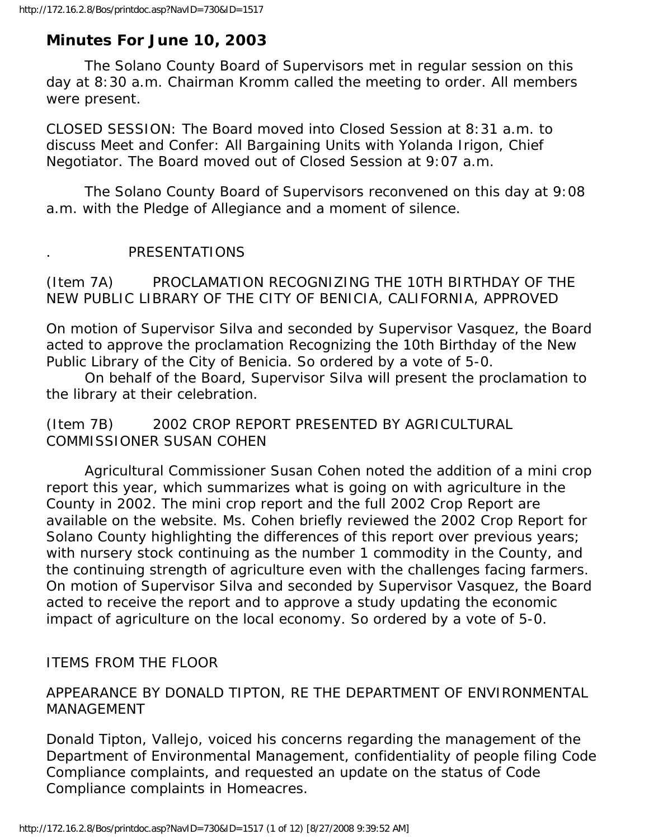# **Minutes For June 10, 2003**

 The Solano County Board of Supervisors met in regular session on this day at 8:30 a.m. Chairman Kromm called the meeting to order. All members were present.

CLOSED SESSION: The Board moved into Closed Session at 8:31 a.m. to discuss Meet and Confer: All Bargaining Units with Yolanda Irigon, Chief Negotiator. The Board moved out of Closed Session at 9:07 a.m.

 The Solano County Board of Supervisors reconvened on this day at 9:08 a.m. with the Pledge of Allegiance and a moment of silence.

## . PRESENTATIONS

(Item 7A) PROCLAMATION RECOGNIZING THE 10TH BIRTHDAY OF THE NEW PUBLIC LIBRARY OF THE CITY OF BENICIA, CALIFORNIA, APPROVED

On motion of Supervisor Silva and seconded by Supervisor Vasquez, the Board acted to approve the proclamation Recognizing the 10th Birthday of the New Public Library of the City of Benicia. So ordered by a vote of 5-0.

 On behalf of the Board, Supervisor Silva will present the proclamation to the library at their celebration.

(Item 7B) 2002 CROP REPORT PRESENTED BY AGRICULTURAL COMMISSIONER SUSAN COHEN

 Agricultural Commissioner Susan Cohen noted the addition of a mini crop report this year, which summarizes what is going on with agriculture in the County in 2002. The mini crop report and the full 2002 Crop Report are available on the website. Ms. Cohen briefly reviewed the 2002 Crop Report for Solano County highlighting the differences of this report over previous years; with nursery stock continuing as the number 1 commodity in the County, and the continuing strength of agriculture even with the challenges facing farmers. On motion of Supervisor Silva and seconded by Supervisor Vasquez, the Board acted to receive the report and to approve a study updating the economic impact of agriculture on the local economy. So ordered by a vote of 5-0.

ITEMS FROM THE FLOOR

## APPEARANCE BY DONALD TIPTON, RE THE DEPARTMENT OF ENVIRONMENTAL MANAGEMENT

Donald Tipton, Vallejo, voiced his concerns regarding the management of the Department of Environmental Management, confidentiality of people filing Code Compliance complaints, and requested an update on the status of Code Compliance complaints in Homeacres.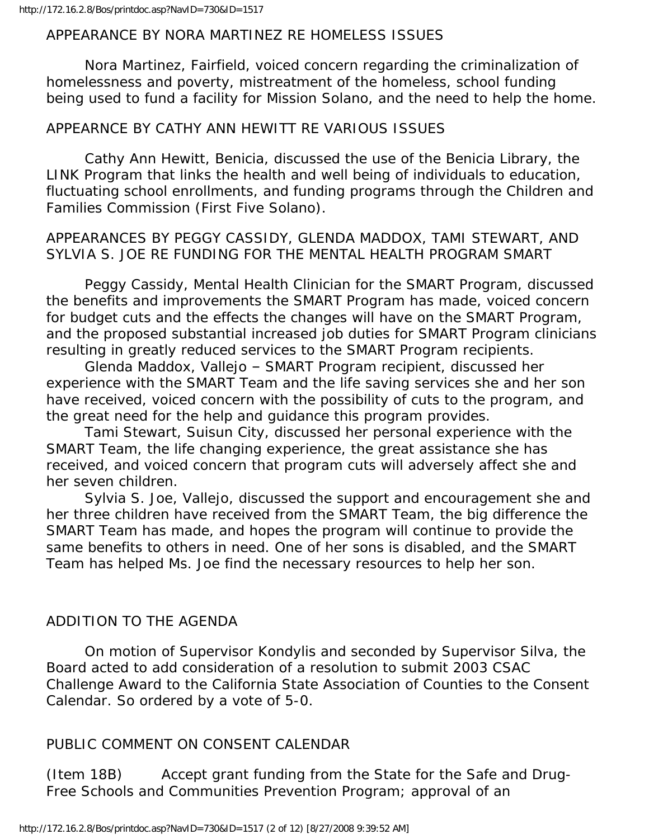#### APPEARANCE BY NORA MARTINEZ RE HOMELESS ISSUES

 Nora Martinez, Fairfield, voiced concern regarding the criminalization of homelessness and poverty, mistreatment of the homeless, school funding being used to fund a facility for Mission Solano, and the need to help the home.

#### APPEARNCE BY CATHY ANN HEWITT RE VARIOUS ISSUES

 Cathy Ann Hewitt, Benicia, discussed the use of the Benicia Library, the LINK Program that links the health and well being of individuals to education, fluctuating school enrollments, and funding programs through the Children and Families Commission (First Five Solano).

### APPEARANCES BY PEGGY CASSIDY, GLENDA MADDOX, TAMI STEWART, AND SYLVIA S. JOE RE FUNDING FOR THE MENTAL HEALTH PROGRAM SMART

 Peggy Cassidy, Mental Health Clinician for the SMART Program, discussed the benefits and improvements the SMART Program has made, voiced concern for budget cuts and the effects the changes will have on the SMART Program, and the proposed substantial increased job duties for SMART Program clinicians resulting in greatly reduced services to the SMART Program recipients.

 Glenda Maddox, Vallejo – SMART Program recipient, discussed her experience with the SMART Team and the life saving services she and her son have received, voiced concern with the possibility of cuts to the program, and the great need for the help and guidance this program provides.

 Tami Stewart, Suisun City, discussed her personal experience with the SMART Team, the life changing experience, the great assistance she has received, and voiced concern that program cuts will adversely affect she and her seven children.

 Sylvia S. Joe, Vallejo, discussed the support and encouragement she and her three children have received from the SMART Team, the big difference the SMART Team has made, and hopes the program will continue to provide the same benefits to others in need. One of her sons is disabled, and the SMART Team has helped Ms. Joe find the necessary resources to help her son.

#### ADDITION TO THE AGENDA

 On motion of Supervisor Kondylis and seconded by Supervisor Silva, the Board acted to add consideration of a resolution to submit 2003 CSAC Challenge Award to the California State Association of Counties to the Consent Calendar. So ordered by a vote of 5-0.

#### PUBLIC COMMENT ON CONSENT CALENDAR

(Item 18B) Accept grant funding from the State for the Safe and Drug-Free Schools and Communities Prevention Program; approval of an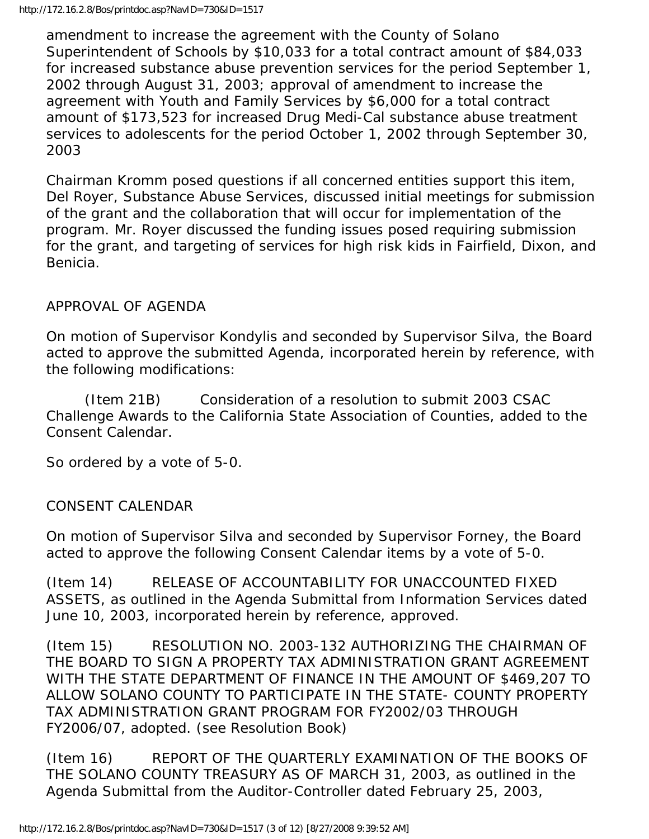amendment to increase the agreement with the County of Solano Superintendent of Schools by \$10,033 for a total contract amount of \$84,033 for increased substance abuse prevention services for the period September 1, 2002 through August 31, 2003; approval of amendment to increase the agreement with Youth and Family Services by \$6,000 for a total contract amount of \$173,523 for increased Drug Medi-Cal substance abuse treatment services to adolescents for the period October 1, 2002 through September 30, 2003

Chairman Kromm posed questions if all concerned entities support this item, Del Royer, Substance Abuse Services, discussed initial meetings for submission of the grant and the collaboration that will occur for implementation of the program. Mr. Royer discussed the funding issues posed requiring submission for the grant, and targeting of services for high risk kids in Fairfield, Dixon, and Benicia.

# APPROVAL OF AGENDA

On motion of Supervisor Kondylis and seconded by Supervisor Silva, the Board acted to approve the submitted Agenda, incorporated herein by reference, with the following modifications:

 (Item 21B) Consideration of a resolution to submit 2003 CSAC Challenge Awards to the California State Association of Counties, added to the Consent Calendar.

So ordered by a vote of 5-0.

## CONSENT CALENDAR

On motion of Supervisor Silva and seconded by Supervisor Forney, the Board acted to approve the following Consent Calendar items by a vote of 5-0.

(Item 14) RELEASE OF ACCOUNTABILITY FOR UNACCOUNTED FIXED ASSETS, as outlined in the Agenda Submittal from Information Services dated June 10, 2003, incorporated herein by reference, approved.

(Item 15) RESOLUTION NO. 2003-132 AUTHORIZING THE CHAIRMAN OF THE BOARD TO SIGN A PROPERTY TAX ADMINISTRATION GRANT AGREEMENT WITH THE STATE DEPARTMENT OF FINANCE IN THE AMOUNT OF \$469,207 TO ALLOW SOLANO COUNTY TO PARTICIPATE IN THE STATE- COUNTY PROPERTY TAX ADMINISTRATION GRANT PROGRAM FOR FY2002/03 THROUGH FY2006/07, adopted. (see Resolution Book)

(Item 16) REPORT OF THE QUARTERLY EXAMINATION OF THE BOOKS OF THE SOLANO COUNTY TREASURY AS OF MARCH 31, 2003, as outlined in the Agenda Submittal from the Auditor-Controller dated February 25, 2003,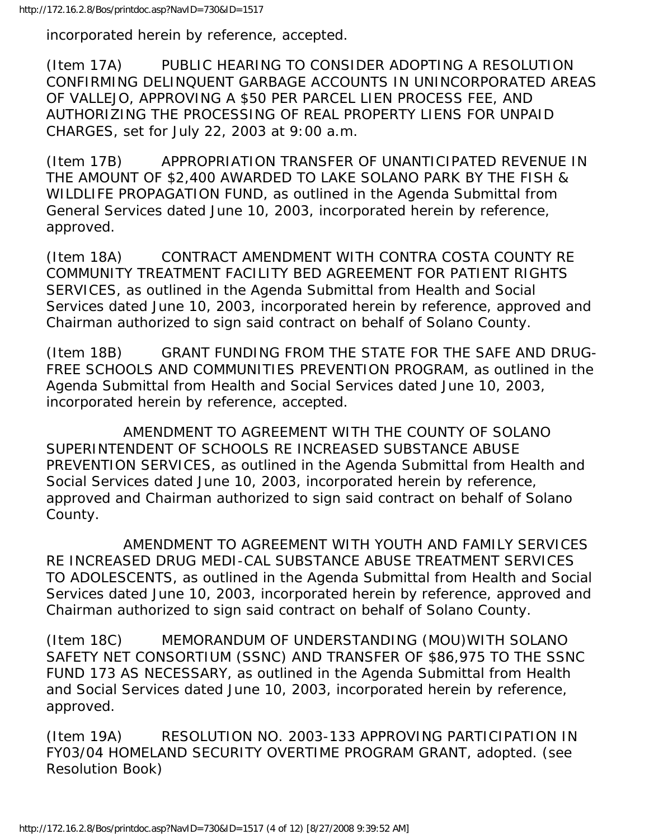incorporated herein by reference, accepted.

(Item 17A) PUBLIC HEARING TO CONSIDER ADOPTING A RESOLUTION CONFIRMING DELINQUENT GARBAGE ACCOUNTS IN UNINCORPORATED AREAS OF VALLEJO, APPROVING A \$50 PER PARCEL LIEN PROCESS FEE, AND AUTHORIZING THE PROCESSING OF REAL PROPERTY LIENS FOR UNPAID CHARGES, set for July 22, 2003 at 9:00 a.m.

(Item 17B) APPROPRIATION TRANSFER OF UNANTICIPATED REVENUE IN THE AMOUNT OF \$2,400 AWARDED TO LAKE SOLANO PARK BY THE FISH & WILDLIFE PROPAGATION FUND, as outlined in the Agenda Submittal from General Services dated June 10, 2003, incorporated herein by reference, approved.

(Item 18A) CONTRACT AMENDMENT WITH CONTRA COSTA COUNTY RE COMMUNITY TREATMENT FACILITY BED AGREEMENT FOR PATIENT RIGHTS SERVICES, as outlined in the Agenda Submittal from Health and Social Services dated June 10, 2003, incorporated herein by reference, approved and Chairman authorized to sign said contract on behalf of Solano County.

(Item 18B) GRANT FUNDING FROM THE STATE FOR THE SAFE AND DRUG-FREE SCHOOLS AND COMMUNITIES PREVENTION PROGRAM, as outlined in the Agenda Submittal from Health and Social Services dated June 10, 2003, incorporated herein by reference, accepted.

 AMENDMENT TO AGREEMENT WITH THE COUNTY OF SOLANO SUPERINTENDENT OF SCHOOLS RE INCREASED SUBSTANCE ABUSE PREVENTION SERVICES, as outlined in the Agenda Submittal from Health and Social Services dated June 10, 2003, incorporated herein by reference, approved and Chairman authorized to sign said contract on behalf of Solano County.

 AMENDMENT TO AGREEMENT WITH YOUTH AND FAMILY SERVICES RE INCREASED DRUG MEDI-CAL SUBSTANCE ABUSE TREATMENT SERVICES TO ADOLESCENTS, as outlined in the Agenda Submittal from Health and Social Services dated June 10, 2003, incorporated herein by reference, approved and Chairman authorized to sign said contract on behalf of Solano County.

(Item 18C) MEMORANDUM OF UNDERSTANDING (MOU)WITH SOLANO SAFETY NET CONSORTIUM (SSNC) AND TRANSFER OF \$86,975 TO THE SSNC FUND 173 AS NECESSARY, as outlined in the Agenda Submittal from Health and Social Services dated June 10, 2003, incorporated herein by reference, approved.

(Item 19A) RESOLUTION NO. 2003-133 APPROVING PARTICIPATION IN FY03/04 HOMELAND SECURITY OVERTIME PROGRAM GRANT, adopted. (see Resolution Book)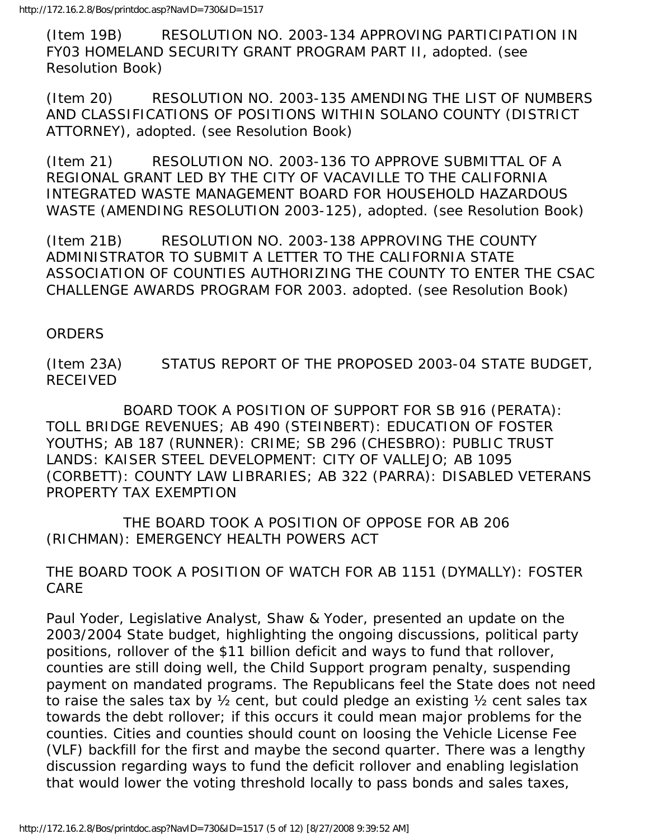(Item 19B) RESOLUTION NO. 2003-134 APPROVING PARTICIPATION IN FY03 HOMELAND SECURITY GRANT PROGRAM PART II, adopted. (see Resolution Book)

(Item 20) RESOLUTION NO. 2003-135 AMENDING THE LIST OF NUMBERS AND CLASSIFICATIONS OF POSITIONS WITHIN SOLANO COUNTY (DISTRICT ATTORNEY), adopted. (see Resolution Book)

(Item 21) RESOLUTION NO. 2003-136 TO APPROVE SUBMITTAL OF A REGIONAL GRANT LED BY THE CITY OF VACAVILLE TO THE CALIFORNIA INTEGRATED WASTE MANAGEMENT BOARD FOR HOUSEHOLD HAZARDOUS WASTE (AMENDING RESOLUTION 2003-125), adopted. (see Resolution Book)

(Item 21B) RESOLUTION NO. 2003-138 APPROVING THE COUNTY ADMINISTRATOR TO SUBMIT A LETTER TO THE CALIFORNIA STATE ASSOCIATION OF COUNTIES AUTHORIZING THE COUNTY TO ENTER THE CSAC CHALLENGE AWARDS PROGRAM FOR 2003. adopted. (see Resolution Book)

## ORDERS

(Item 23A) STATUS REPORT OF THE PROPOSED 2003-04 STATE BUDGET, RECEIVED

 BOARD TOOK A POSITION OF SUPPORT FOR SB 916 (PERATA): TOLL BRIDGE REVENUES; AB 490 (STEINBERT): EDUCATION OF FOSTER YOUTHS; AB 187 (RUNNER): CRIME; SB 296 (CHESBRO): PUBLIC TRUST LANDS: KAISER STEEL DEVELOPMENT: CITY OF VALLEJO; AB 1095 (CORBETT): COUNTY LAW LIBRARIES; AB 322 (PARRA): DISABLED VETERANS PROPERTY TAX EXEMPTION

 THE BOARD TOOK A POSITION OF OPPOSE FOR AB 206 (RICHMAN): EMERGENCY HEALTH POWERS ACT

THE BOARD TOOK A POSITION OF WATCH FOR AB 1151 (DYMALLY): FOSTER CARE

Paul Yoder, Legislative Analyst, Shaw & Yoder, presented an update on the 2003/2004 State budget, highlighting the ongoing discussions, political party positions, rollover of the \$11 billion deficit and ways to fund that rollover, counties are still doing well, the Child Support program penalty, suspending payment on mandated programs. The Republicans feel the State does not need to raise the sales tax by ½ cent, but could pledge an existing ½ cent sales tax towards the debt rollover; if this occurs it could mean major problems for the counties. Cities and counties should count on loosing the Vehicle License Fee (VLF) backfill for the first and maybe the second quarter. There was a lengthy discussion regarding ways to fund the deficit rollover and enabling legislation that would lower the voting threshold locally to pass bonds and sales taxes,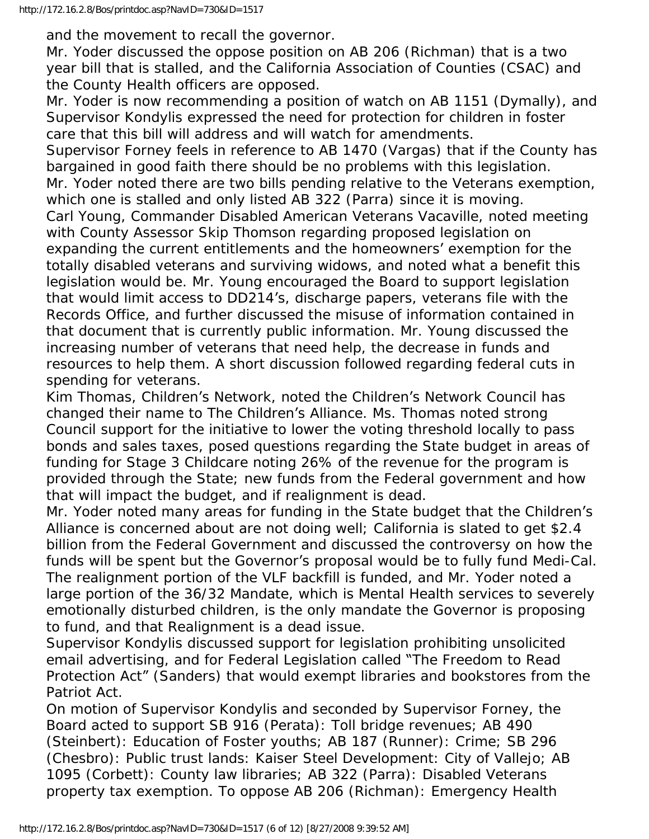and the movement to recall the governor.

Mr. Yoder discussed the oppose position on AB 206 (Richman) that is a two year bill that is stalled, and the California Association of Counties (CSAC) and the County Health officers are opposed.

Mr. Yoder is now recommending a position of watch on AB 1151 (Dymally), and Supervisor Kondylis expressed the need for protection for children in foster care that this bill will address and will watch for amendments.

Supervisor Forney feels in reference to AB 1470 (Vargas) that if the County has bargained in good faith there should be no problems with this legislation. Mr. Yoder noted there are two bills pending relative to the Veterans exemption, which one is stalled and only listed AB 322 (Parra) since it is moving. Carl Young, Commander Disabled American Veterans Vacaville, noted meeting with County Assessor Skip Thomson regarding proposed legislation on expanding the current entitlements and the homeowners' exemption for the totally disabled veterans and surviving widows, and noted what a benefit this legislation would be. Mr. Young encouraged the Board to support legislation that would limit access to DD214's, discharge papers, veterans file with the Records Office, and further discussed the misuse of information contained in that document that is currently public information. Mr. Young discussed the increasing number of veterans that need help, the decrease in funds and resources to help them. A short discussion followed regarding federal cuts in spending for veterans.

Kim Thomas, Children's Network, noted the Children's Network Council has changed their name to The Children's Alliance. Ms. Thomas noted strong Council support for the initiative to lower the voting threshold locally to pass bonds and sales taxes, posed questions regarding the State budget in areas of funding for Stage 3 Childcare noting 26% of the revenue for the program is provided through the State; new funds from the Federal government and how that will impact the budget, and if realignment is dead.

Mr. Yoder noted many areas for funding in the State budget that the Children's Alliance is concerned about are not doing well; California is slated to get \$2.4 billion from the Federal Government and discussed the controversy on how the funds will be spent but the Governor's proposal would be to fully fund Medi-Cal. The realignment portion of the VLF backfill is funded, and Mr. Yoder noted a large portion of the 36/32 Mandate, which is Mental Health services to severely emotionally disturbed children, is the only mandate the Governor is proposing to fund, and that Realignment is a dead issue.

Supervisor Kondylis discussed support for legislation prohibiting unsolicited email advertising, and for Federal Legislation called "The Freedom to Read Protection Act" (Sanders) that would exempt libraries and bookstores from the Patriot Act.

On motion of Supervisor Kondylis and seconded by Supervisor Forney, the Board acted to support SB 916 (Perata): Toll bridge revenues; AB 490 (Steinbert): Education of Foster youths; AB 187 (Runner): Crime; SB 296 (Chesbro): Public trust lands: Kaiser Steel Development: City of Vallejo; AB 1095 (Corbett): County law libraries; AB 322 (Parra): Disabled Veterans property tax exemption. To oppose AB 206 (Richman): Emergency Health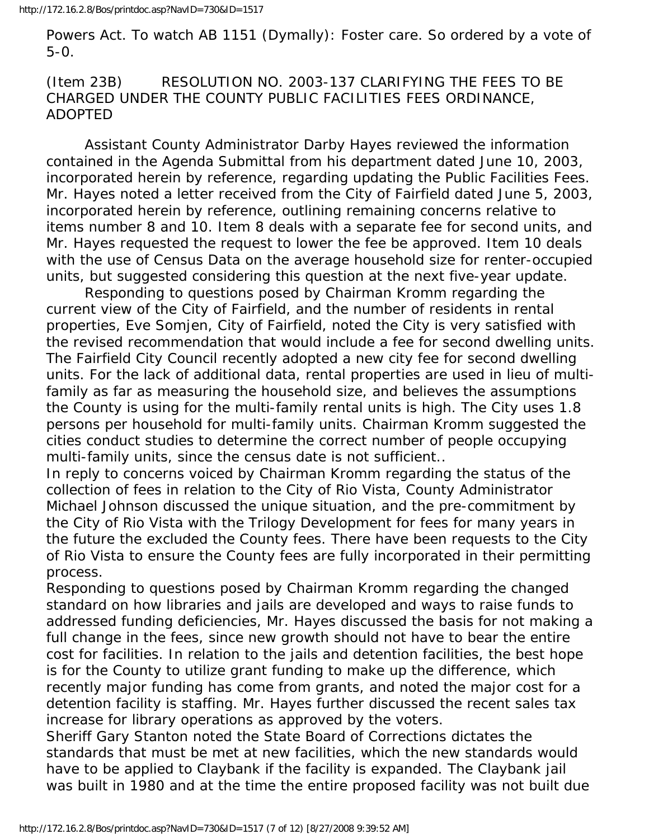Powers Act. To watch AB 1151 (Dymally): Foster care. So ordered by a vote of 5-0.

(Item 23B) RESOLUTION NO. 2003-137 CLARIFYING THE FEES TO BE CHARGED UNDER THE COUNTY PUBLIC FACILITIES FEES ORDINANCE, ADOPTED

 Assistant County Administrator Darby Hayes reviewed the information contained in the Agenda Submittal from his department dated June 10, 2003, incorporated herein by reference, regarding updating the Public Facilities Fees. Mr. Hayes noted a letter received from the City of Fairfield dated June 5, 2003, incorporated herein by reference, outlining remaining concerns relative to items number 8 and 10. Item 8 deals with a separate fee for second units, and Mr. Hayes requested the request to lower the fee be approved. Item 10 deals with the use of Census Data on the average household size for renter-occupied units, but suggested considering this question at the next five-year update.

 Responding to questions posed by Chairman Kromm regarding the current view of the City of Fairfield, and the number of residents in rental properties, Eve Somjen, City of Fairfield, noted the City is very satisfied with the revised recommendation that would include a fee for second dwelling units. The Fairfield City Council recently adopted a new city fee for second dwelling units. For the lack of additional data, rental properties are used in lieu of multifamily as far as measuring the household size, and believes the assumptions the County is using for the multi-family rental units is high. The City uses 1.8 persons per household for multi-family units. Chairman Kromm suggested the cities conduct studies to determine the correct number of people occupying multi-family units, since the census date is not sufficient..

In reply to concerns voiced by Chairman Kromm regarding the status of the collection of fees in relation to the City of Rio Vista, County Administrator Michael Johnson discussed the unique situation, and the pre-commitment by the City of Rio Vista with the Trilogy Development for fees for many years in the future the excluded the County fees. There have been requests to the City of Rio Vista to ensure the County fees are fully incorporated in their permitting process.

Responding to questions posed by Chairman Kromm regarding the changed standard on how libraries and jails are developed and ways to raise funds to addressed funding deficiencies, Mr. Hayes discussed the basis for not making a full change in the fees, since new growth should not have to bear the entire cost for facilities. In relation to the jails and detention facilities, the best hope is for the County to utilize grant funding to make up the difference, which recently major funding has come from grants, and noted the major cost for a detention facility is staffing. Mr. Hayes further discussed the recent sales tax increase for library operations as approved by the voters.

Sheriff Gary Stanton noted the State Board of Corrections dictates the standards that must be met at new facilities, which the new standards would have to be applied to Claybank if the facility is expanded. The Claybank jail was built in 1980 and at the time the entire proposed facility was not built due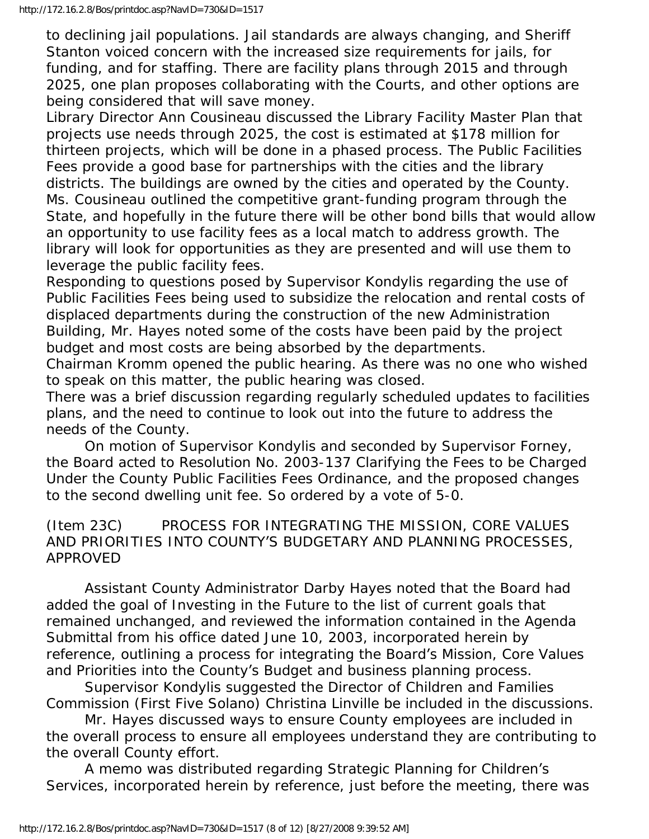to declining jail populations. Jail standards are always changing, and Sheriff Stanton voiced concern with the increased size requirements for jails, for funding, and for staffing. There are facility plans through 2015 and through 2025, one plan proposes collaborating with the Courts, and other options are being considered that will save money.

Library Director Ann Cousineau discussed the Library Facility Master Plan that projects use needs through 2025, the cost is estimated at \$178 million for thirteen projects, which will be done in a phased process. The Public Facilities Fees provide a good base for partnerships with the cities and the library districts. The buildings are owned by the cities and operated by the County. Ms. Cousineau outlined the competitive grant-funding program through the State, and hopefully in the future there will be other bond bills that would allow an opportunity to use facility fees as a local match to address growth. The library will look for opportunities as they are presented and will use them to leverage the public facility fees.

Responding to questions posed by Supervisor Kondylis regarding the use of Public Facilities Fees being used to subsidize the relocation and rental costs of displaced departments during the construction of the new Administration Building, Mr. Hayes noted some of the costs have been paid by the project budget and most costs are being absorbed by the departments.

Chairman Kromm opened the public hearing. As there was no one who wished to speak on this matter, the public hearing was closed.

There was a brief discussion regarding regularly scheduled updates to facilities plans, and the need to continue to look out into the future to address the needs of the County.

 On motion of Supervisor Kondylis and seconded by Supervisor Forney, the Board acted to Resolution No. 2003-137 Clarifying the Fees to be Charged Under the County Public Facilities Fees Ordinance, and the proposed changes to the second dwelling unit fee. So ordered by a vote of 5-0.

# (Item 23C) PROCESS FOR INTEGRATING THE MISSION, CORE VALUES AND PRIORITIES INTO COUNTY'S BUDGETARY AND PLANNING PROCESSES, APPROVED

 Assistant County Administrator Darby Hayes noted that the Board had added the goal of Investing in the Future to the list of current goals that remained unchanged, and reviewed the information contained in the Agenda Submittal from his office dated June 10, 2003, incorporated herein by reference, outlining a process for integrating the Board's Mission, Core Values and Priorities into the County's Budget and business planning process.

 Supervisor Kondylis suggested the Director of Children and Families Commission (First Five Solano) Christina Linville be included in the discussions.

 Mr. Hayes discussed ways to ensure County employees are included in the overall process to ensure all employees understand they are contributing to the overall County effort.

 A memo was distributed regarding Strategic Planning for Children's Services, incorporated herein by reference, just before the meeting, there was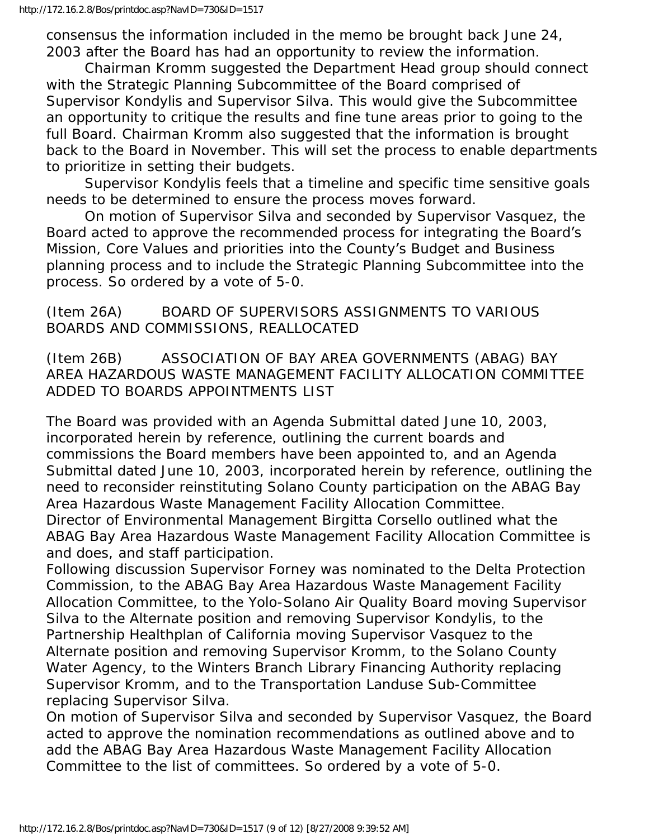consensus the information included in the memo be brought back June 24, 2003 after the Board has had an opportunity to review the information.

 Chairman Kromm suggested the Department Head group should connect with the Strategic Planning Subcommittee of the Board comprised of Supervisor Kondylis and Supervisor Silva. This would give the Subcommittee an opportunity to critique the results and fine tune areas prior to going to the full Board. Chairman Kromm also suggested that the information is brought back to the Board in November. This will set the process to enable departments to prioritize in setting their budgets.

 Supervisor Kondylis feels that a timeline and specific time sensitive goals needs to be determined to ensure the process moves forward.

 On motion of Supervisor Silva and seconded by Supervisor Vasquez, the Board acted to approve the recommended process for integrating the Board's Mission, Core Values and priorities into the County's Budget and Business planning process and to include the Strategic Planning Subcommittee into the process. So ordered by a vote of 5-0.

# (Item 26A) BOARD OF SUPERVISORS ASSIGNMENTS TO VARIOUS BOARDS AND COMMISSIONS, REALLOCATED

(Item 26B) ASSOCIATION OF BAY AREA GOVERNMENTS (ABAG) BAY AREA HAZARDOUS WASTE MANAGEMENT FACILITY ALLOCATION COMMITTEE ADDED TO BOARDS APPOINTMENTS LIST

The Board was provided with an Agenda Submittal dated June 10, 2003, incorporated herein by reference, outlining the current boards and commissions the Board members have been appointed to, and an Agenda Submittal dated June 10, 2003, incorporated herein by reference, outlining the need to reconsider reinstituting Solano County participation on the ABAG Bay Area Hazardous Waste Management Facility Allocation Committee. Director of Environmental Management Birgitta Corsello outlined what the ABAG Bay Area Hazardous Waste Management Facility Allocation Committee is and does, and staff participation.

Following discussion Supervisor Forney was nominated to the Delta Protection Commission, to the ABAG Bay Area Hazardous Waste Management Facility Allocation Committee, to the Yolo-Solano Air Quality Board moving Supervisor Silva to the Alternate position and removing Supervisor Kondylis, to the Partnership Healthplan of California moving Supervisor Vasquez to the Alternate position and removing Supervisor Kromm, to the Solano County Water Agency, to the Winters Branch Library Financing Authority replacing Supervisor Kromm, and to the Transportation Landuse Sub-Committee replacing Supervisor Silva.

On motion of Supervisor Silva and seconded by Supervisor Vasquez, the Board acted to approve the nomination recommendations as outlined above and to add the ABAG Bay Area Hazardous Waste Management Facility Allocation Committee to the list of committees. So ordered by a vote of 5-0.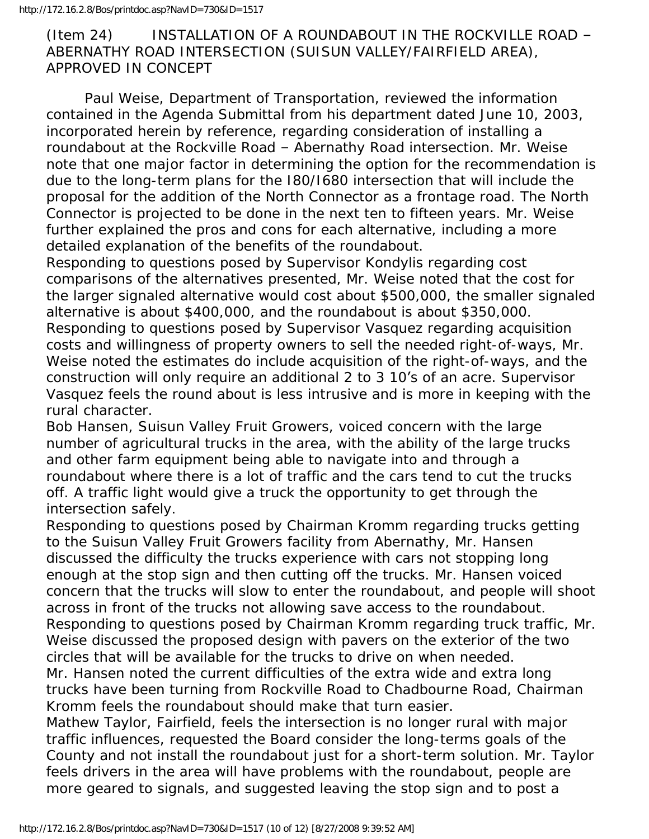# (Item 24) INSTALLATION OF A ROUNDABOUT IN THE ROCKVILLE ROAD – ABERNATHY ROAD INTERSECTION (SUISUN VALLEY/FAIRFIELD AREA), APPROVED IN CONCEPT

 Paul Weise, Department of Transportation, reviewed the information contained in the Agenda Submittal from his department dated June 10, 2003, incorporated herein by reference, regarding consideration of installing a roundabout at the Rockville Road – Abernathy Road intersection. Mr. Weise note that one major factor in determining the option for the recommendation is due to the long-term plans for the I80/I680 intersection that will include the proposal for the addition of the North Connector as a frontage road. The North Connector is projected to be done in the next ten to fifteen years. Mr. Weise further explained the pros and cons for each alternative, including a more detailed explanation of the benefits of the roundabout.

Responding to questions posed by Supervisor Kondylis regarding cost comparisons of the alternatives presented, Mr. Weise noted that the cost for the larger signaled alternative would cost about \$500,000, the smaller signaled alternative is about \$400,000, and the roundabout is about \$350,000. Responding to questions posed by Supervisor Vasquez regarding acquisition costs and willingness of property owners to sell the needed right-of-ways, Mr. Weise noted the estimates do include acquisition of the right-of-ways, and the construction will only require an additional 2 to 3 10's of an acre. Supervisor Vasquez feels the round about is less intrusive and is more in keeping with the rural character.

Bob Hansen, Suisun Valley Fruit Growers, voiced concern with the large number of agricultural trucks in the area, with the ability of the large trucks and other farm equipment being able to navigate into and through a roundabout where there is a lot of traffic and the cars tend to cut the trucks off. A traffic light would give a truck the opportunity to get through the intersection safely.

Responding to questions posed by Chairman Kromm regarding trucks getting to the Suisun Valley Fruit Growers facility from Abernathy, Mr. Hansen discussed the difficulty the trucks experience with cars not stopping long enough at the stop sign and then cutting off the trucks. Mr. Hansen voiced concern that the trucks will slow to enter the roundabout, and people will shoot across in front of the trucks not allowing save access to the roundabout. Responding to questions posed by Chairman Kromm regarding truck traffic, Mr. Weise discussed the proposed design with pavers on the exterior of the two circles that will be available for the trucks to drive on when needed. Mr. Hansen noted the current difficulties of the extra wide and extra long

trucks have been turning from Rockville Road to Chadbourne Road, Chairman Kromm feels the roundabout should make that turn easier.

Mathew Taylor, Fairfield, feels the intersection is no longer rural with major traffic influences, requested the Board consider the long-terms goals of the County and not install the roundabout just for a short-term solution. Mr. Taylor feels drivers in the area will have problems with the roundabout, people are more geared to signals, and suggested leaving the stop sign and to post a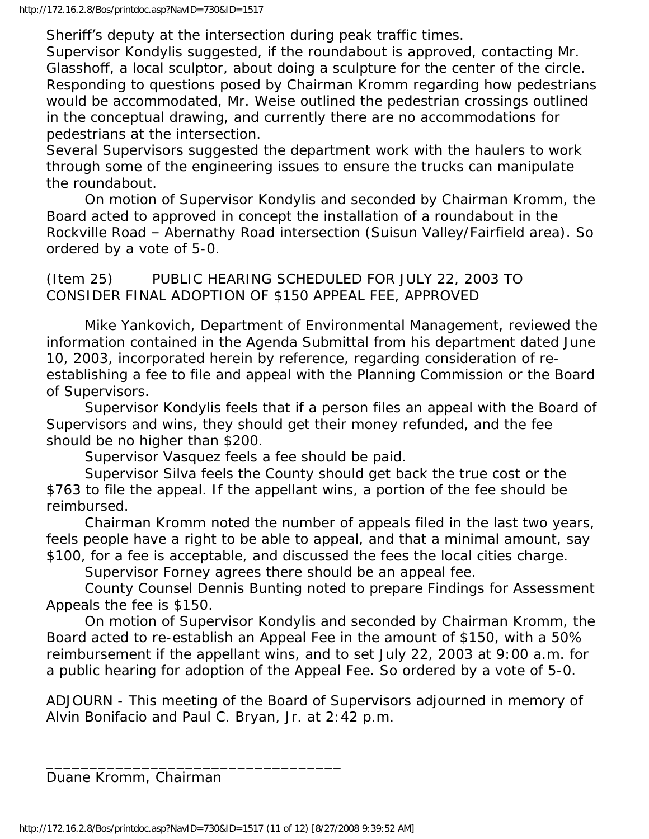Sheriff's deputy at the intersection during peak traffic times.

Supervisor Kondylis suggested, if the roundabout is approved, contacting Mr. Glasshoff, a local sculptor, about doing a sculpture for the center of the circle. Responding to questions posed by Chairman Kromm regarding how pedestrians would be accommodated, Mr. Weise outlined the pedestrian crossings outlined in the conceptual drawing, and currently there are no accommodations for pedestrians at the intersection.

Several Supervisors suggested the department work with the haulers to work through some of the engineering issues to ensure the trucks can manipulate the roundabout.

 On motion of Supervisor Kondylis and seconded by Chairman Kromm, the Board acted to approved in concept the installation of a roundabout in the Rockville Road – Abernathy Road intersection (Suisun Valley/Fairfield area). So ordered by a vote of 5-0.

(Item 25) PUBLIC HEARING SCHEDULED FOR JULY 22, 2003 TO CONSIDER FINAL ADOPTION OF \$150 APPEAL FEE, APPROVED

 Mike Yankovich, Department of Environmental Management, reviewed the information contained in the Agenda Submittal from his department dated June 10, 2003, incorporated herein by reference, regarding consideration of reestablishing a fee to file and appeal with the Planning Commission or the Board of Supervisors.

 Supervisor Kondylis feels that if a person files an appeal with the Board of Supervisors and wins, they should get their money refunded, and the fee should be no higher than \$200.

Supervisor Vasquez feels a fee should be paid.

 Supervisor Silva feels the County should get back the true cost or the \$763 to file the appeal. If the appellant wins, a portion of the fee should be reimbursed.

 Chairman Kromm noted the number of appeals filed in the last two years, feels people have a right to be able to appeal, and that a minimal amount, say \$100, for a fee is acceptable, and discussed the fees the local cities charge.

Supervisor Forney agrees there should be an appeal fee.

 County Counsel Dennis Bunting noted to prepare Findings for Assessment Appeals the fee is \$150.

 On motion of Supervisor Kondylis and seconded by Chairman Kromm, the Board acted to re-establish an Appeal Fee in the amount of \$150, with a 50% reimbursement if the appellant wins, and to set July 22, 2003 at 9:00 a.m. for a public hearing for adoption of the Appeal Fee. So ordered by a vote of 5-0.

ADJOURN - This meeting of the Board of Supervisors adjourned in memory of Alvin Bonifacio and Paul C. Bryan, Jr. at 2:42 p.m.

Duane Kromm, Chairman

\_\_\_\_\_\_\_\_\_\_\_\_\_\_\_\_\_\_\_\_\_\_\_\_\_\_\_\_\_\_\_\_\_\_